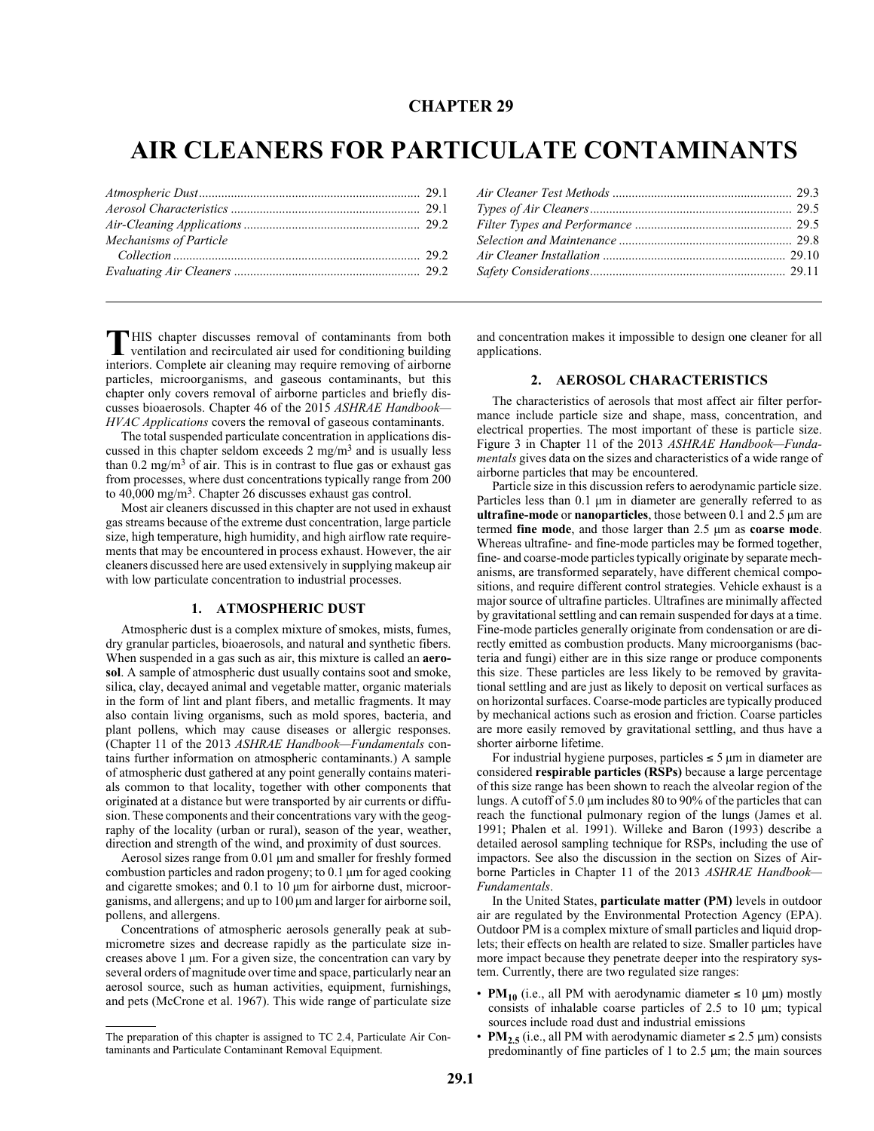# **CHAPTER 29**

# **AIR CLEANERS FOR PARTICULATE CONTAMINANTS**

| <b>Mechanisms of Particle</b> |  |
|-------------------------------|--|
|                               |  |
|                               |  |
|                               |  |

**T**HIS chapter discusses removal of contaminants from both ventilation and recirculated air used for conditioning building interiors. Complete air cleaning may require removing of airborne particles, microorganisms, and gaseous contaminants, but this chapter only covers removal of airborne particles and briefly discusses bioaerosols. Chapter 46 of the 2015 *ASHRAE Handbook— HVAC Applications* covers the removal of gaseous contaminants.

The total suspended particulate concentration in applications discussed in this chapter seldom exceeds 2 mg/m3 and is usually less than  $0.2 \text{ mg/m}^3$  of air. This is in contrast to flue gas or exhaust gas from processes, where dust concentrations typically range from 200 to 40,000 mg/m3. Chapter 26 discusses exhaust gas control.

Most air cleaners discussed in this chapter are not used in exhaust gas streams because of the extreme dust concentration, large particle size, high temperature, high humidity, and high airflow rate requirements that may be encountered in process exhaust. However, the air cleaners discussed here are used extensively in supplying makeup air with low particulate concentration to industrial processes.

# **1. ATMOSPHERIC DUST**

<span id="page-0-0"></span>Atmospheric dust is a complex mixture of smokes, mists, fumes, dry granular particles, bioaerosols, and natural and synthetic fibers. When suspended in a gas such as air, this mixture is called an **aerosol**. A sample of atmospheric dust usually contains soot and smoke, silica, clay, decayed animal and vegetable matter, organic materials in the form of lint and plant fibers, and metallic fragments. It may also contain living organisms, such as mold spores, bacteria, and plant pollens, which may cause diseases or allergic responses. (Chapter 11 of the 2013 *ASHRAE Handbook—Fundamentals* contains further information on atmospheric contaminants.) A sample of atmospheric dust gathered at any point generally contains materials common to that locality, together with other components that originated at a distance but were transported by air currents or diffusion. These components and their concentrations vary with the geography of the locality (urban or rural), season of the year, weather, direction and strength of the wind, and proximity of dust sources.

Aerosol sizes range from 0.01 µm and smaller for freshly formed combustion particles and radon progeny; to 0.1 µm for aged cooking and cigarette smokes; and 0.1 to 10  $\mu$ m for airborne dust, microorganisms, and allergens; and up to 100 µm and larger for airborne soil, pollens, and allergens.

Concentrations of atmospheric aerosols generally peak at submicrometre sizes and decrease rapidly as the particulate size increases above 1 µm. For a given size, the concentration can vary by several orders of magnitude over time and space, particularly near an aerosol source, such as human activities, equipment, furnishings, and pets (McCrone et al. 1967). This wide range of particulate size

and concentration makes it impossible to design one cleaner for all applications.

# **2. AEROSOL CHARACTERISTICS**

<span id="page-0-1"></span>The characteristics of aerosols that most affect air filter performance include particle size and shape, mass, concentration, and electrical properties. The most important of these is particle size. Figure 3 in Chapter 11 of the 2013 *ASHRAE Handbook—Fundamentals* gives data on the sizes and characteristics of a wide range of airborne particles that may be encountered.

Particle size in this discussion refers to aerodynamic particle size. Particles less than 0.1  $\mu$ m in diameter are generally referred to as **ultrafine-mode** or **nanoparticles**, those between 0.1 and 2.5 µm are termed **fine mode**, and those larger than 2.5 µm as **coarse mode**. Whereas ultrafine- and fine-mode particles may be formed together, fine- and coarse-mode particles typically originate by separate mechanisms, are transformed separately, have different chemical compositions, and require different control strategies. Vehicle exhaust is a major source of ultrafine particles. Ultrafines are minimally affected by gravitational settling and can remain suspended for days at a time. Fine-mode particles generally originate from condensation or are directly emitted as combustion products. Many microorganisms (bacteria and fungi) either are in this size range or produce components this size. These particles are less likely to be removed by gravitational settling and are just as likely to deposit on vertical surfaces as on horizontal surfaces. Coarse-mode particles are typically produced by mechanical actions such as erosion and friction. Coarse particles are more easily removed by gravitational settling, and thus have a shorter airborne lifetime.

For industrial hygiene purposes, particles  $\leq$  5  $\mu$ m in diameter are considered **respirable particles (RSPs)** because a large percentage of this size range has been shown to reach the alveolar region of the lungs. A cutoff of 5.0 µm includes 80 to 90% of the particles that can reach the functional pulmonary region of the lungs (James et al. 1991; Phalen et al. 1991). Willeke and Baron (1993) describe a detailed aerosol sampling technique for RSPs, including the use of impactors. See also the discussion in the section on Sizes of Airborne Particles in Chapter 11 of the 2013 *ASHRAE Handbook— Fundamentals*.

In the United States, **particulate matter (PM)** levels in outdoor air are regulated by the Environmental Protection Agency (EPA). Outdoor PM is a complex mixture of small particles and liquid droplets; their effects on health are related to size. Smaller particles have more impact because they penetrate deeper into the respiratory system. Currently, there are two regulated size ranges:

- **PM**<sub>10</sub> (i.e., all PM with aerodynamic diameter  $\leq 10 \mu$ m) mostly consists of inhalable coarse particles of 2.5 to 10 μm; typical sources include road dust and industrial emissions
- **PM<sub>2.5</sub>** (i.e., all PM with aerodynamic diameter  $\leq$  2.5  $\mu$ m) consists predominantly of fine particles of 1 to 2.5  $\mu$ m; the main sources

The preparation of this chapter is assigned to TC 2.4, Particulate Air Contaminants and Particulate Contaminant Removal Equipment.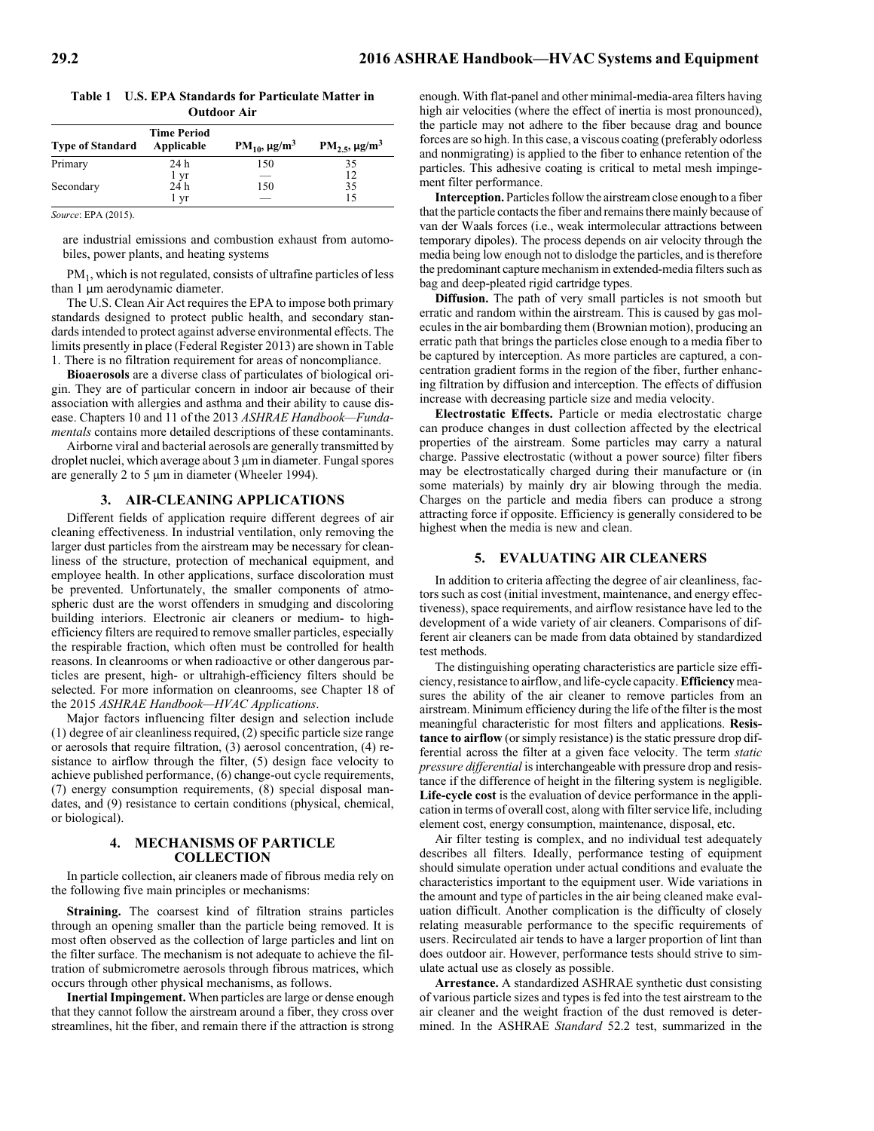| <b>Type of Standard</b> | <b>Time Period</b><br>Applicable | $PM_{10}$ , $\mu$ g/m <sup>3</sup> | $PM_{2.5}$ , $\mu$ g/m <sup>3</sup> |
|-------------------------|----------------------------------|------------------------------------|-------------------------------------|
| Primary                 | 24h                              | 150                                | 35                                  |
|                         | 1 yr                             | --                                 | 12                                  |
| Secondary               | 24h                              | 150                                | 35                                  |
|                         | l vr                             | __                                 | 15                                  |

**Table 1 U.S. EPA Standards for Particulate Matter in Outdoor Air**

*Source*: EPA (2015).

are industrial emissions and combustion exhaust from automobiles, power plants, and heating systems

PM<sub>1</sub>, which is not regulated, consists of ultrafine particles of less than 1 μm aerodynamic diameter.

The U.S. Clean Air Act requires the EPA to impose both primary standards designed to protect public health, and secondary standards intended to protect against adverse environmental effects. The limits presently in place (Federal Register 2013) are shown in Table 1. There is no filtration requirement for areas of noncompliance.

**Bioaerosols** are a diverse class of particulates of biological origin. They are of particular concern in indoor air because of their association with allergies and asthma and their ability to cause disease. Chapters 10 and 11 of the 2013 *ASHRAE Handbook—Fundamentals* contains more detailed descriptions of these contaminants.

Airborne viral and bacterial aerosols are generally transmitted by droplet nuclei, which average about 3 µm in diameter. Fungal spores are generally 2 to 5 µm in diameter (Wheeler 1994).

### **3. AIR-CLEANING APPLICATIONS**

<span id="page-1-0"></span>Different fields of application require different degrees of air cleaning effectiveness. In industrial ventilation, only removing the larger dust particles from the airstream may be necessary for cleanliness of the structure, protection of mechanical equipment, and employee health. In other applications, surface discoloration must be prevented. Unfortunately, the smaller components of atmospheric dust are the worst offenders in smudging and discoloring building interiors. Electronic air cleaners or medium- to highefficiency filters are required to remove smaller particles, especially the respirable fraction, which often must be controlled for health reasons. In cleanrooms or when radioactive or other dangerous particles are present, high- or ultrahigh-efficiency filters should be selected. For more information on cleanrooms, see Chapter 18 of the 2015 *ASHRAE Handbook—HVAC Applications*.

Major factors influencing filter design and selection include (1) degree of air cleanliness required, (2) specific particle size range or aerosols that require filtration, (3) aerosol concentration, (4) resistance to airflow through the filter, (5) design face velocity to achieve published performance, (6) change-out cycle requirements, (7) energy consumption requirements, (8) special disposal mandates, and (9) resistance to certain conditions (physical, chemical, or biological).

# **4. MECHANISMS OF PARTICLE COLLECTION**

<span id="page-1-1"></span>In particle collection, air cleaners made of fibrous media rely on the following five main principles or mechanisms:

**Straining.** The coarsest kind of filtration strains particles through an opening smaller than the particle being removed. It is most often observed as the collection of large particles and lint on the filter surface. The mechanism is not adequate to achieve the filtration of submicrometre aerosols through fibrous matrices, which occurs through other physical mechanisms, as follows.

**Inertial Impingement.** When particles are large or dense enough that they cannot follow the airstream around a fiber, they cross over streamlines, hit the fiber, and remain there if the attraction is strong

enough. With flat-panel and other minimal-media-area filters having high air velocities (where the effect of inertia is most pronounced), the particle may not adhere to the fiber because drag and bounce forces are so high. In this case, a viscous coating (preferably odorless and nonmigrating) is applied to the fiber to enhance retention of the particles. This adhesive coating is critical to metal mesh impingement filter performance.

**Interception.** Particles follow the airstream close enough to a fiber that the particle contacts the fiber and remains there mainly because of van der Waals forces (i.e., weak intermolecular attractions between temporary dipoles). The process depends on air velocity through the media being low enough not to dislodge the particles, and is therefore the predominant capture mechanism in extended-media filters such as bag and deep-pleated rigid cartridge types.

**Diffusion.** The path of very small particles is not smooth but erratic and random within the airstream. This is caused by gas molecules in the air bombarding them (Brownian motion), producing an erratic path that brings the particles close enough to a media fiber to be captured by interception. As more particles are captured, a concentration gradient forms in the region of the fiber, further enhancing filtration by diffusion and interception. The effects of diffusion increase with decreasing particle size and media velocity.

**Electrostatic Effects.** Particle or media electrostatic charge can produce changes in dust collection affected by the electrical properties of the airstream. Some particles may carry a natural charge. Passive electrostatic (without a power source) filter fibers may be electrostatically charged during their manufacture or (in some materials) by mainly dry air blowing through the media. Charges on the particle and media fibers can produce a strong attracting force if opposite. Efficiency is generally considered to be highest when the media is new and clean.

# **5. EVALUATING AIR CLEANERS**

<span id="page-1-2"></span>In addition to criteria affecting the degree of air cleanliness, factors such as cost (initial investment, maintenance, and energy effectiveness), space requirements, and airflow resistance have led to the development of a wide variety of air cleaners. Comparisons of different air cleaners can be made from data obtained by standardized test methods.

The distinguishing operating characteristics are particle size efficiency, resistance to airflow, and life-cycle capacity. **Efficiency** measures the ability of the air cleaner to remove particles from an airstream. Minimum efficiency during the life of the filter is the most meaningful characteristic for most filters and applications. **Resistance to airflow** (or simply resistance) is the static pressure drop differential across the filter at a given face velocity. The term *static pressure differential* is interchangeable with pressure drop and resistance if the difference of height in the filtering system is negligible. **Life-cycle cost** is the evaluation of device performance in the application in terms of overall cost, along with filter service life, including element cost, energy consumption, maintenance, disposal, etc.

Air filter testing is complex, and no individual test adequately describes all filters. Ideally, performance testing of equipment should simulate operation under actual conditions and evaluate the characteristics important to the equipment user. Wide variations in the amount and type of particles in the air being cleaned make evaluation difficult. Another complication is the difficulty of closely relating measurable performance to the specific requirements of users. Recirculated air tends to have a larger proportion of lint than does outdoor air. However, performance tests should strive to simulate actual use as closely as possible.

**Arrestance.** A standardized ASHRAE synthetic dust consisting of various particle sizes and types is fed into the test airstream to the air cleaner and the weight fraction of the dust removed is determined. In the ASHRAE *Standard* 52.2 test, summarized in the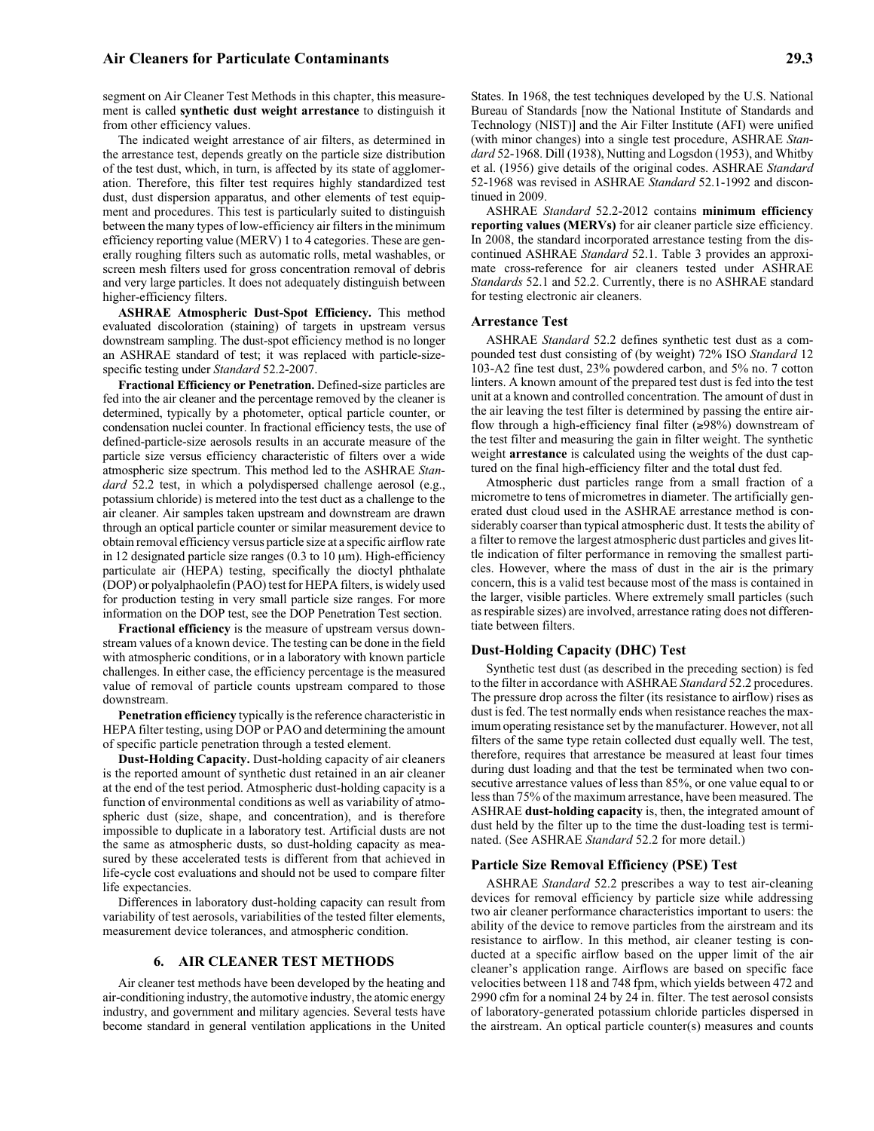segment on Air Cleaner Test Methods in this chapter, this measurement is called **synthetic dust weight arrestance** to distinguish it from other efficiency values.

The indicated weight arrestance of air filters, as determined in the arrestance test, depends greatly on the particle size distribution of the test dust, which, in turn, is affected by its state of agglomeration. Therefore, this filter test requires highly standardized test dust, dust dispersion apparatus, and other elements of test equipment and procedures. This test is particularly suited to distinguish between the many types of low-efficiency air filters in the minimum efficiency reporting value (MERV) 1 to 4 categories. These are generally roughing filters such as automatic rolls, metal washables, or screen mesh filters used for gross concentration removal of debris and very large particles. It does not adequately distinguish between higher-efficiency filters.

**ASHRAE Atmospheric Dust-Spot Efficiency.** This method evaluated discoloration (staining) of targets in upstream versus downstream sampling. The dust-spot efficiency method is no longer an ASHRAE standard of test; it was replaced with particle-sizespecific testing under *Standard* 52.2-2007.

**Fractional Efficiency or Penetration.** Defined-size particles are fed into the air cleaner and the percentage removed by the cleaner is determined, typically by a photometer, optical particle counter, or condensation nuclei counter. In fractional efficiency tests, the use of defined-particle-size aerosols results in an accurate measure of the particle size versus efficiency characteristic of filters over a wide atmospheric size spectrum. This method led to the ASHRAE *Standard* 52.2 test, in which a polydispersed challenge aerosol (e.g., potassium chloride) is metered into the test duct as a challenge to the air cleaner. Air samples taken upstream and downstream are drawn through an optical particle counter or similar measurement device to obtain removal efficiency versus particle size at a specific airflow rate in 12 designated particle size ranges  $(0.3 \text{ to } 10 \text{ µm})$ . High-efficiency particulate air (HEPA) testing, specifically the dioctyl phthalate (DOP) or polyalphaolefin (PAO) test for HEPA filters, is widely used for production testing in very small particle size ranges. For more information on the DOP test, see the DOP Penetration Test section.

**Fractional efficiency** is the measure of upstream versus downstream values of a known device. The testing can be done in the field with atmospheric conditions, or in a laboratory with known particle challenges. In either case, the efficiency percentage is the measured value of removal of particle counts upstream compared to those downstream.

**Penetration efficiency** typically is the reference characteristic in HEPA filter testing, using DOP or PAO and determining the amount of specific particle penetration through a tested element.

**Dust-Holding Capacity.** Dust-holding capacity of air cleaners is the reported amount of synthetic dust retained in an air cleaner at the end of the test period. Atmospheric dust-holding capacity is a function of environmental conditions as well as variability of atmospheric dust (size, shape, and concentration), and is therefore impossible to duplicate in a laboratory test. Artificial dusts are not the same as atmospheric dusts, so dust-holding capacity as measured by these accelerated tests is different from that achieved in life-cycle cost evaluations and should not be used to compare filter life expectancies.

Differences in laboratory dust-holding capacity can result from variability of test aerosols, variabilities of the tested filter elements, measurement device tolerances, and atmospheric condition.

### **6. AIR CLEANER TEST METHODS**

<span id="page-2-0"></span>Air cleaner test methods have been developed by the heating and air-conditioning industry, the automotive industry, the atomic energy industry, and government and military agencies. Several tests have become standard in general ventilation applications in the United

States. In 1968, the test techniques developed by the U.S. National Bureau of Standards [now the National Institute of Standards and Technology (NIST)] and the Air Filter Institute (AFI) were unified (with minor changes) into a single test procedure, ASHRAE *Standard* 52-1968. Dill (1938), Nutting and Logsdon (1953), and Whitby et al. (1956) give details of the original codes. ASHRAE *Standard* 52-1968 was revised in ASHRAE *Standard* 52.1-1992 and discontinued in 2009.

ASHRAE *Standard* 52.2-2012 contains **minimum efficiency reporting values (MERVs)** for air cleaner particle size efficiency. In 2008, the standard incorporated arrestance testing from the discontinued ASHRAE *Standard* 52.1. Table 3 provides an approximate cross-reference for air cleaners tested under ASHRAE *Standards* 52.1 and 52.2. Currently, there is no ASHRAE standard for testing electronic air cleaners.

#### **Arrestance Test**

ASHRAE *Standard* 52.2 defines synthetic test dust as a compounded test dust consisting of (by weight) 72% ISO *Standard* 12 103-A2 fine test dust, 23% powdered carbon, and 5% no. 7 cotton linters. A known amount of the prepared test dust is fed into the test unit at a known and controlled concentration. The amount of dust in the air leaving the test filter is determined by passing the entire airflow through a high-efficiency final filter  $(\geq 98\%)$  downstream of the test filter and measuring the gain in filter weight. The synthetic weight **arrestance** is calculated using the weights of the dust captured on the final high-efficiency filter and the total dust fed.

Atmospheric dust particles range from a small fraction of a micrometre to tens of micrometres in diameter. The artificially generated dust cloud used in the ASHRAE arrestance method is considerably coarser than typical atmospheric dust. It tests the ability of a filter to remove the largest atmospheric dust particles and gives little indication of filter performance in removing the smallest particles. However, where the mass of dust in the air is the primary concern, this is a valid test because most of the mass is contained in the larger, visible particles. Where extremely small particles (such as respirable sizes) are involved, arrestance rating does not differentiate between filters.

### **Dust-Holding Capacity (DHC) Test**

Synthetic test dust (as described in the preceding section) is fed to the filter in accordance with ASHRAE *Standard* 52.2 procedures. The pressure drop across the filter (its resistance to airflow) rises as dust is fed. The test normally ends when resistance reaches the maximum operating resistance set by the manufacturer. However, not all filters of the same type retain collected dust equally well. The test, therefore, requires that arrestance be measured at least four times during dust loading and that the test be terminated when two consecutive arrestance values of less than 85%, or one value equal to or less than 75% of the maximum arrestance, have been measured. The ASHRAE **dust-holding capacity** is, then, the integrated amount of dust held by the filter up to the time the dust-loading test is terminated. (See ASHRAE *Standard* 52.2 for more detail.)

#### **Particle Size Removal Efficiency (PSE) Test**

ASHRAE *Standard* 52.2 prescribes a way to test air-cleaning devices for removal efficiency by particle size while addressing two air cleaner performance characteristics important to users: the ability of the device to remove particles from the airstream and its resistance to airflow. In this method, air cleaner testing is conducted at a specific airflow based on the upper limit of the air cleaner's application range. Airflows are based on specific face velocities between 118 and 748 fpm, which yields between 472 and 2990 cfm for a nominal 24 by 24 in. filter. The test aerosol consists of laboratory-generated potassium chloride particles dispersed in the airstream. An optical particle counter(s) measures and counts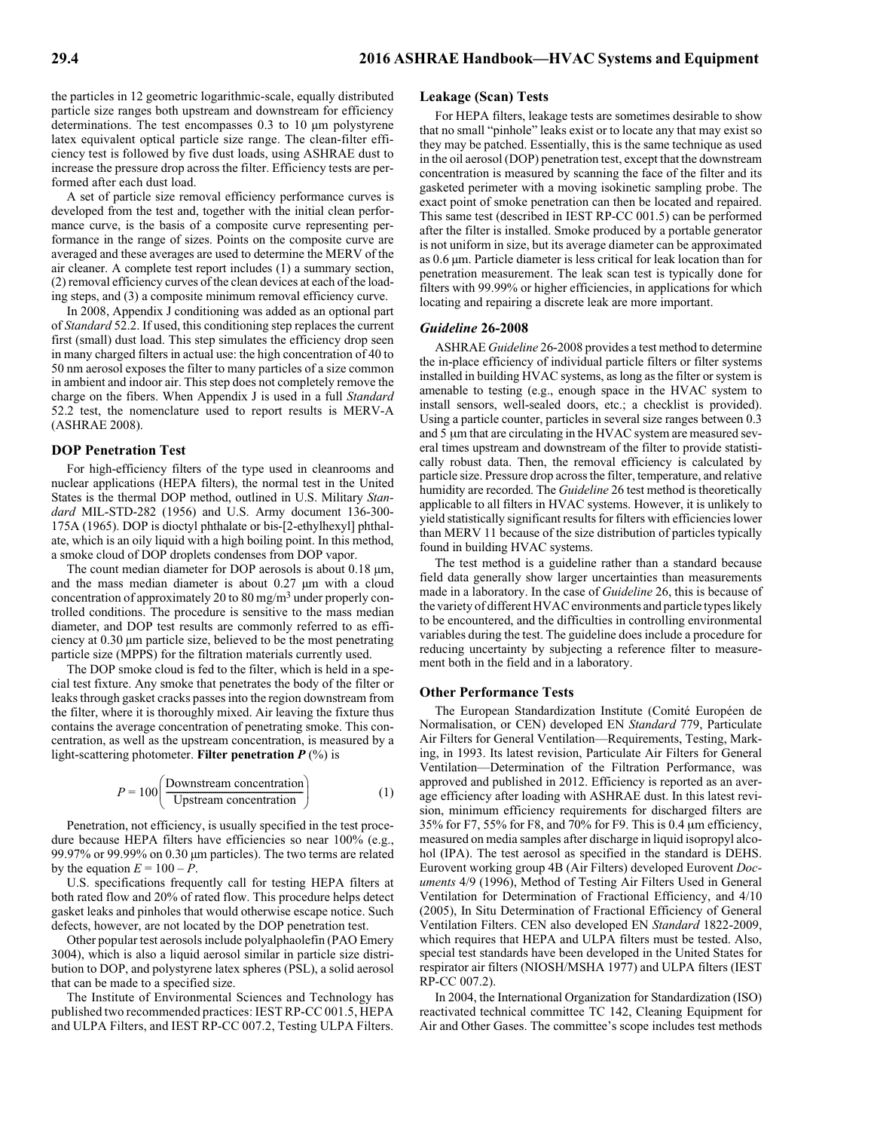the particles in 12 geometric logarithmic-scale, equally distributed particle size ranges both upstream and downstream for efficiency determinations. The test encompasses 0.3 to 10 µm polystyrene latex equivalent optical particle size range. The clean-filter efficiency test is followed by five dust loads, using ASHRAE dust to increase the pressure drop across the filter. Efficiency tests are performed after each dust load.

A set of particle size removal efficiency performance curves is developed from the test and, together with the initial clean performance curve, is the basis of a composite curve representing performance in the range of sizes. Points on the composite curve are averaged and these averages are used to determine the MERV of the air cleaner. A complete test report includes (1) a summary section, (2) removal efficiency curves of the clean devices at each of the loading steps, and (3) a composite minimum removal efficiency curve.

In 2008, Appendix J conditioning was added as an optional part of *Standard* 52.2. If used, this conditioning step replaces the current first (small) dust load. This step simulates the efficiency drop seen in many charged filters in actual use: the high concentration of 40 to 50 nm aerosol exposes the filter to many particles of a size common in ambient and indoor air. This step does not completely remove the charge on the fibers. When Appendix J is used in a full *Standard* 52.2 test, the nomenclature used to report results is MERV-A (ASHRAE 2008).

# **DOP Penetration Test**

For high-efficiency filters of the type used in cleanrooms and nuclear applications (HEPA filters), the normal test in the United States is the thermal DOP method, outlined in U.S. Military *Standard* MIL-STD-282 (1956) and U.S. Army document 136-300- 175A (1965). DOP is dioctyl phthalate or bis-[2-ethylhexyl] phthalate, which is an oily liquid with a high boiling point. In this method, a smoke cloud of DOP droplets condenses from DOP vapor.

The count median diameter for DOP aerosols is about 0.18  $\mu$ m, and the mass median diameter is about 0.27 µm with a cloud concentration of approximately 20 to 80 mg/m3 under properly controlled conditions. The procedure is sensitive to the mass median diameter, and DOP test results are commonly referred to as efficiency at 0.30 µm particle size, believed to be the most penetrating particle size (MPPS) for the filtration materials currently used.

The DOP smoke cloud is fed to the filter, which is held in a special test fixture. Any smoke that penetrates the body of the filter or leaks through gasket cracks passes into the region downstream from the filter, where it is thoroughly mixed. Air leaving the fixture thus contains the average concentration of penetrating smoke. This concentration, as well as the upstream concentration, is measured by a light-scattering photometer. **Filter penetration** *P* (%) is

$$
P = 100 \left( \frac{\text{Downstream concentration}}{\text{Upstream concentration}} \right) \tag{1}
$$

Penetration, not efficiency, is usually specified in the test procedure because HEPA filters have efficiencies so near 100% (e.g., 99.97% or 99.99% on 0.30 µm particles). The two terms are related by the equation  $E = 100 - P$ .

U.S. specifications frequently call for testing HEPA filters at both rated flow and 20% of rated flow. This procedure helps detect gasket leaks and pinholes that would otherwise escape notice. Such defects, however, are not located by the DOP penetration test.

Other popular test aerosols include polyalphaolefin (PAO Emery 3004), which is also a liquid aerosol similar in particle size distribution to DOP, and polystyrene latex spheres (PSL), a solid aerosol that can be made to a specified size.

The Institute of Environmental Sciences and Technology has published two recommended practices: IEST RP-CC 001.5, HEPA and ULPA Filters, and IEST RP-CC 007.2, Testing ULPA Filters.

#### **Leakage (Scan) Tests**

For HEPA filters, leakage tests are sometimes desirable to show that no small "pinhole" leaks exist or to locate any that may exist so they may be patched. Essentially, this is the same technique as used in the oil aerosol (DOP) penetration test, except that the downstream concentration is measured by scanning the face of the filter and its gasketed perimeter with a moving isokinetic sampling probe. The exact point of smoke penetration can then be located and repaired. This same test (described in IEST RP-CC 001.5) can be performed after the filter is installed. Smoke produced by a portable generator is not uniform in size, but its average diameter can be approximated as 0.6 µm. Particle diameter is less critical for leak location than for penetration measurement. The leak scan test is typically done for filters with 99.99% or higher efficiencies, in applications for which locating and repairing a discrete leak are more important.

### *Guideline* **26-2008**

ASHRAE *Guideline* 26-2008 provides a test method to determine the in-place efficiency of individual particle filters or filter systems installed in building HVAC systems, as long as the filter or system is amenable to testing (e.g., enough space in the HVAC system to install sensors, well-sealed doors, etc.; a checklist is provided). Using a particle counter, particles in several size ranges between 0.3 and 5 µm that are circulating in the HVAC system are measured several times upstream and downstream of the filter to provide statistically robust data. Then, the removal efficiency is calculated by particle size. Pressure drop across the filter, temperature, and relative humidity are recorded. The *Guideline* 26 test method is theoretically applicable to all filters in HVAC systems. However, it is unlikely to yield statistically significant results for filters with efficiencies lower than MERV 11 because of the size distribution of particles typically found in building HVAC systems.

The test method is a guideline rather than a standard because field data generally show larger uncertainties than measurements made in a laboratory. In the case of *Guideline* 26, this is because of the variety of different HVAC environments and particle types likely to be encountered, and the difficulties in controlling environmental variables during the test. The guideline does include a procedure for reducing uncertainty by subjecting a reference filter to measurement both in the field and in a laboratory.

### **Other Performance Tests**

The European Standardization Institute (Comité Européen de Normalisation, or CEN) developed EN *Standard* 779, Particulate Air Filters for General Ventilation—Requirements, Testing, Marking, in 1993. Its latest revision, Particulate Air Filters for General Ventilation—Determination of the Filtration Performance, was approved and published in 2012. Efficiency is reported as an average efficiency after loading with ASHRAE dust. In this latest revision, minimum efficiency requirements for discharged filters are 35% for F7, 55% for F8, and 70% for F9. This is 0.4  $\mu$ m efficiency, measured on media samples after discharge in liquid isopropyl alcohol (IPA). The test aerosol as specified in the standard is DEHS. Eurovent working group 4B (Air Filters) developed Eurovent *Documents* 4/9 (1996), Method of Testing Air Filters Used in General Ventilation for Determination of Fractional Efficiency, and 4/10 (2005), In Situ Determination of Fractional Efficiency of General Ventilation Filters. CEN also developed EN *Standard* 1822-2009, which requires that HEPA and ULPA filters must be tested. Also, special test standards have been developed in the United States for respirator air filters (NIOSH/MSHA 1977) and ULPA filters (IEST RP-CC 007.2).

In 2004, the International Organization for Standardization (ISO) reactivated technical committee TC 142, Cleaning Equipment for Air and Other Gases. The committee's scope includes test methods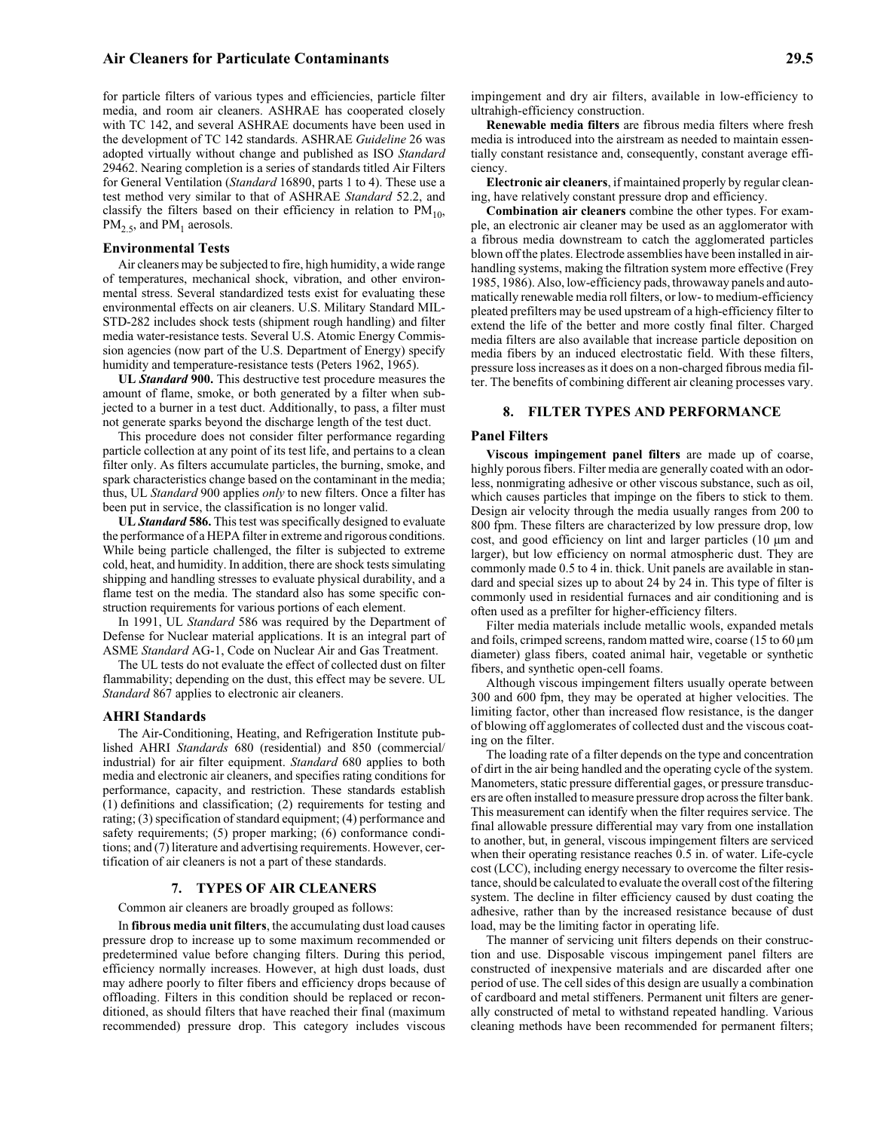for particle filters of various types and efficiencies, particle filter media, and room air cleaners. ASHRAE has cooperated closely with TC 142, and several ASHRAE documents have been used in the development of TC 142 standards. ASHRAE *Guideline* 26 was adopted virtually without change and published as ISO *Standard* 29462. Nearing completion is a series of standards titled Air Filters for General Ventilation (*Standard* 16890, parts 1 to 4). These use a test method very similar to that of ASHRAE *Standard* 52.2, and classify the filters based on their efficiency in relation to  $PM_{10}$ ,  $PM_{2.5}$ , and  $PM_1$  aerosols.

#### **Environmental Tests**

Air cleaners may be subjected to fire, high humidity, a wide range of temperatures, mechanical shock, vibration, and other environmental stress. Several standardized tests exist for evaluating these environmental effects on air cleaners. U.S. Military Standard MIL-STD-282 includes shock tests (shipment rough handling) and filter media water-resistance tests. Several U.S. Atomic Energy Commission agencies (now part of the U.S. Department of Energy) specify humidity and temperature-resistance tests (Peters 1962, 1965).

**UL** *Standard* **900.** This destructive test procedure measures the amount of flame, smoke, or both generated by a filter when subjected to a burner in a test duct. Additionally, to pass, a filter must not generate sparks beyond the discharge length of the test duct.

This procedure does not consider filter performance regarding particle collection at any point of its test life, and pertains to a clean filter only. As filters accumulate particles, the burning, smoke, and spark characteristics change based on the contaminant in the media; thus, UL *Standard* 900 applies *only* to new filters. Once a filter has been put in service, the classification is no longer valid.

**UL** *Standard* **586.** This test was specifically designed to evaluate the performance of a HEPA filter in extreme and rigorous conditions. While being particle challenged, the filter is subjected to extreme cold, heat, and humidity. In addition, there are shock tests simulating shipping and handling stresses to evaluate physical durability, and a flame test on the media. The standard also has some specific construction requirements for various portions of each element.

In 1991, UL *Standard* 586 was required by the Department of Defense for Nuclear material applications. It is an integral part of ASME *Standard* AG-1, Code on Nuclear Air and Gas Treatment.

The UL tests do not evaluate the effect of collected dust on filter flammability; depending on the dust, this effect may be severe. UL *Standard* 867 applies to electronic air cleaners.

#### **AHRI Standards**

The Air-Conditioning, Heating, and Refrigeration Institute published AHRI *Standards* 680 (residential) and 850 (commercial/ industrial) for air filter equipment. *Standard* 680 applies to both media and electronic air cleaners, and specifies rating conditions for performance, capacity, and restriction. These standards establish (1) definitions and classification; (2) requirements for testing and rating; (3) specification of standard equipment; (4) performance and safety requirements; (5) proper marking; (6) conformance conditions; and (7) literature and advertising requirements. However, certification of air cleaners is not a part of these standards.

#### **7. TYPES OF AIR CLEANERS**

<span id="page-4-0"></span>Common air cleaners are broadly grouped as follows:

In **fibrous media unit filters**, the accumulating dust load causes pressure drop to increase up to some maximum recommended or predetermined value before changing filters. During this period, efficiency normally increases. However, at high dust loads, dust may adhere poorly to filter fibers and efficiency drops because of offloading. Filters in this condition should be replaced or reconditioned, as should filters that have reached their final (maximum recommended) pressure drop. This category includes viscous

impingement and dry air filters, available in low-efficiency to ultrahigh-efficiency construction.

**Renewable media filters** are fibrous media filters where fresh media is introduced into the airstream as needed to maintain essentially constant resistance and, consequently, constant average efficiency.

**Electronic air cleaners**, if maintained properly by regular cleaning, have relatively constant pressure drop and efficiency.

**Combination air cleaners** combine the other types. For example, an electronic air cleaner may be used as an agglomerator with a fibrous media downstream to catch the agglomerated particles blown off the plates. Electrode assemblies have been installed in airhandling systems, making the filtration system more effective (Frey 1985, 1986). Also, low-efficiency pads, throwaway panels and automatically renewable media roll filters, or low- to medium-efficiency pleated prefilters may be used upstream of a high-efficiency filter to extend the life of the better and more costly final filter. Charged media filters are also available that increase particle deposition on media fibers by an induced electrostatic field. With these filters, pressure loss increases as it does on a non-charged fibrous media filter. The benefits of combining different air cleaning processes vary.

#### **8. FILTER TYPES AND PERFORMANCE**

### <span id="page-4-1"></span>**Panel Filters**

**Viscous impingement panel filters** are made up of coarse, highly porous fibers. Filter media are generally coated with an odorless, nonmigrating adhesive or other viscous substance, such as oil, which causes particles that impinge on the fibers to stick to them. Design air velocity through the media usually ranges from 200 to 800 fpm. These filters are characterized by low pressure drop, low cost, and good efficiency on lint and larger particles (10 µm and larger), but low efficiency on normal atmospheric dust. They are commonly made 0.5 to 4 in. thick. Unit panels are available in standard and special sizes up to about 24 by 24 in. This type of filter is commonly used in residential furnaces and air conditioning and is often used as a prefilter for higher-efficiency filters.

Filter media materials include metallic wools, expanded metals and foils, crimped screens, random matted wire, coarse (15 to 60 µm diameter) glass fibers, coated animal hair, vegetable or synthetic fibers, and synthetic open-cell foams.

Although viscous impingement filters usually operate between 300 and 600 fpm, they may be operated at higher velocities. The limiting factor, other than increased flow resistance, is the danger of blowing off agglomerates of collected dust and the viscous coating on the filter.

The loading rate of a filter depends on the type and concentration of dirt in the air being handled and the operating cycle of the system. Manometers, static pressure differential gages, or pressure transducers are often installed to measure pressure drop across the filter bank. This measurement can identify when the filter requires service. The final allowable pressure differential may vary from one installation to another, but, in general, viscous impingement filters are serviced when their operating resistance reaches 0.5 in. of water. Life-cycle cost (LCC), including energy necessary to overcome the filter resistance, should be calculated to evaluate the overall cost of the filtering system. The decline in filter efficiency caused by dust coating the adhesive, rather than by the increased resistance because of dust load, may be the limiting factor in operating life.

The manner of servicing unit filters depends on their construction and use. Disposable viscous impingement panel filters are constructed of inexpensive materials and are discarded after one period of use. The cell sides of this design are usually a combination of cardboard and metal stiffeners. Permanent unit filters are generally constructed of metal to withstand repeated handling. Various cleaning methods have been recommended for permanent filters;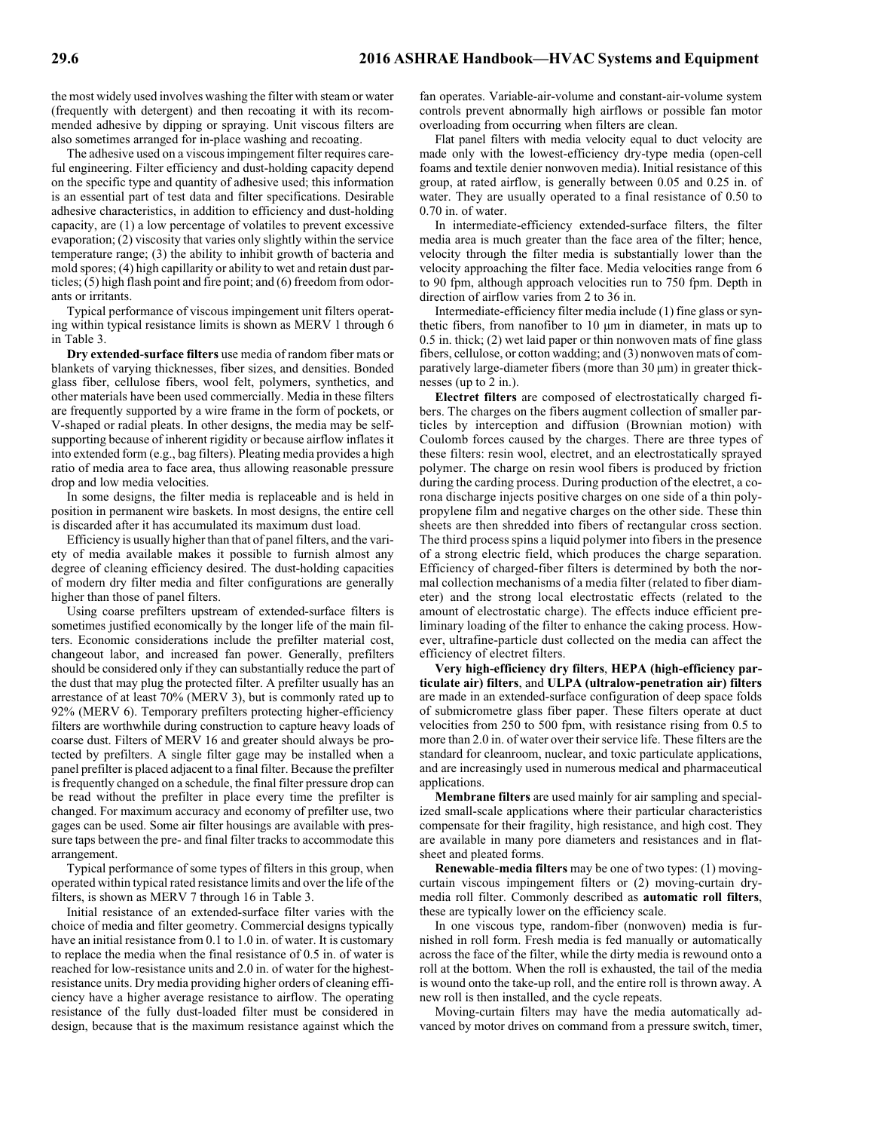the most widely used involves washing the filter with steam or water (frequently with detergent) and then recoating it with its recommended adhesive by dipping or spraying. Unit viscous filters are also sometimes arranged for in-place washing and recoating.

The adhesive used on a viscous impingement filter requires careful engineering. Filter efficiency and dust-holding capacity depend on the specific type and quantity of adhesive used; this information is an essential part of test data and filter specifications. Desirable adhesive characteristics, in addition to efficiency and dust-holding capacity, are (1) a low percentage of volatiles to prevent excessive evaporation; (2) viscosity that varies only slightly within the service temperature range; (3) the ability to inhibit growth of bacteria and mold spores; (4) high capillarity or ability to wet and retain dust particles; (5) high flash point and fire point; and (6) freedom from odorants or irritants.

Typical performance of viscous impingement unit filters operating within typical resistance limits is shown as MERV 1 through 6 in Table 3.

**Dry extended**-**surface filters** use media of random fiber mats or blankets of varying thicknesses, fiber sizes, and densities. Bonded glass fiber, cellulose fibers, wool felt, polymers, synthetics, and other materials have been used commercially. Media in these filters are frequently supported by a wire frame in the form of pockets, or V-shaped or radial pleats. In other designs, the media may be selfsupporting because of inherent rigidity or because airflow inflates it into extended form (e.g., bag filters). Pleating media provides a high ratio of media area to face area, thus allowing reasonable pressure drop and low media velocities.

In some designs, the filter media is replaceable and is held in position in permanent wire baskets. In most designs, the entire cell is discarded after it has accumulated its maximum dust load.

Efficiency is usually higher than that of panel filters, and the variety of media available makes it possible to furnish almost any degree of cleaning efficiency desired. The dust-holding capacities of modern dry filter media and filter configurations are generally higher than those of panel filters.

Using coarse prefilters upstream of extended-surface filters is sometimes justified economically by the longer life of the main filters. Economic considerations include the prefilter material cost, changeout labor, and increased fan power. Generally, prefilters should be considered only if they can substantially reduce the part of the dust that may plug the protected filter. A prefilter usually has an arrestance of at least 70% (MERV 3), but is commonly rated up to 92% (MERV 6). Temporary prefilters protecting higher-efficiency filters are worthwhile during construction to capture heavy loads of coarse dust. Filters of MERV 16 and greater should always be protected by prefilters. A single filter gage may be installed when a panel prefilter is placed adjacent to a final filter. Because the prefilter is frequently changed on a schedule, the final filter pressure drop can be read without the prefilter in place every time the prefilter is changed. For maximum accuracy and economy of prefilter use, two gages can be used. Some air filter housings are available with pressure taps between the pre- and final filter tracks to accommodate this arrangement.

Typical performance of some types of filters in this group, when operated within typical rated resistance limits and over the life of the filters, is shown as MERV 7 through 16 in Table 3.

Initial resistance of an extended-surface filter varies with the choice of media and filter geometry. Commercial designs typically have an initial resistance from 0.1 to 1.0 in. of water. It is customary to replace the media when the final resistance of 0.5 in. of water is reached for low-resistance units and 2.0 in. of water for the highestresistance units. Dry media providing higher orders of cleaning efficiency have a higher average resistance to airflow. The operating resistance of the fully dust-loaded filter must be considered in design, because that is the maximum resistance against which the

fan operates. Variable-air-volume and constant-air-volume system controls prevent abnormally high airflows or possible fan motor overloading from occurring when filters are clean.

Flat panel filters with media velocity equal to duct velocity are made only with the lowest-efficiency dry-type media (open-cell foams and textile denier nonwoven media). Initial resistance of this group, at rated airflow, is generally between 0.05 and 0.25 in. of water. They are usually operated to a final resistance of 0.50 to 0.70 in. of water.

In intermediate-efficiency extended-surface filters, the filter media area is much greater than the face area of the filter; hence, velocity through the filter media is substantially lower than the velocity approaching the filter face. Media velocities range from 6 to 90 fpm, although approach velocities run to 750 fpm. Depth in direction of airflow varies from 2 to 36 in.

Intermediate-efficiency filter media include (1) fine glass or synthetic fibers, from nanofiber to 10 µm in diameter, in mats up to 0.5 in. thick; (2) wet laid paper or thin nonwoven mats of fine glass fibers, cellulose, or cotton wadding; and (3) nonwoven mats of comparatively large-diameter fibers (more than 30 µm) in greater thicknesses (up to 2 in.).

**Electret filters** are composed of electrostatically charged fibers. The charges on the fibers augment collection of smaller particles by interception and diffusion (Brownian motion) with Coulomb forces caused by the charges. There are three types of these filters: resin wool, electret, and an electrostatically sprayed polymer. The charge on resin wool fibers is produced by friction during the carding process. During production of the electret, a corona discharge injects positive charges on one side of a thin polypropylene film and negative charges on the other side. These thin sheets are then shredded into fibers of rectangular cross section. The third process spins a liquid polymer into fibers in the presence of a strong electric field, which produces the charge separation. Efficiency of charged-fiber filters is determined by both the normal collection mechanisms of a media filter (related to fiber diameter) and the strong local electrostatic effects (related to the amount of electrostatic charge). The effects induce efficient preliminary loading of the filter to enhance the caking process. However, ultrafine-particle dust collected on the media can affect the efficiency of electret filters.

**Very high-efficiency dry filters**, **HEPA (high-efficiency particulate air) filters**, and **ULPA (ultralow-penetration air) filters** are made in an extended-surface configuration of deep space folds of submicrometre glass fiber paper. These filters operate at duct velocities from 250 to 500 fpm, with resistance rising from 0.5 to more than 2.0 in. of water over their service life. These filters are the standard for cleanroom, nuclear, and toxic particulate applications, and are increasingly used in numerous medical and pharmaceutical applications.

**Membrane filters** are used mainly for air sampling and specialized small-scale applications where their particular characteristics compensate for their fragility, high resistance, and high cost. They are available in many pore diameters and resistances and in flatsheet and pleated forms.

**Renewable**-**media filters** may be one of two types: (1) movingcurtain viscous impingement filters or (2) moving-curtain drymedia roll filter. Commonly described as **automatic roll filters**, these are typically lower on the efficiency scale.

In one viscous type, random-fiber (nonwoven) media is furnished in roll form. Fresh media is fed manually or automatically across the face of the filter, while the dirty media is rewound onto a roll at the bottom. When the roll is exhausted, the tail of the media is wound onto the take-up roll, and the entire roll is thrown away. A new roll is then installed, and the cycle repeats.

Moving-curtain filters may have the media automatically advanced by motor drives on command from a pressure switch, timer,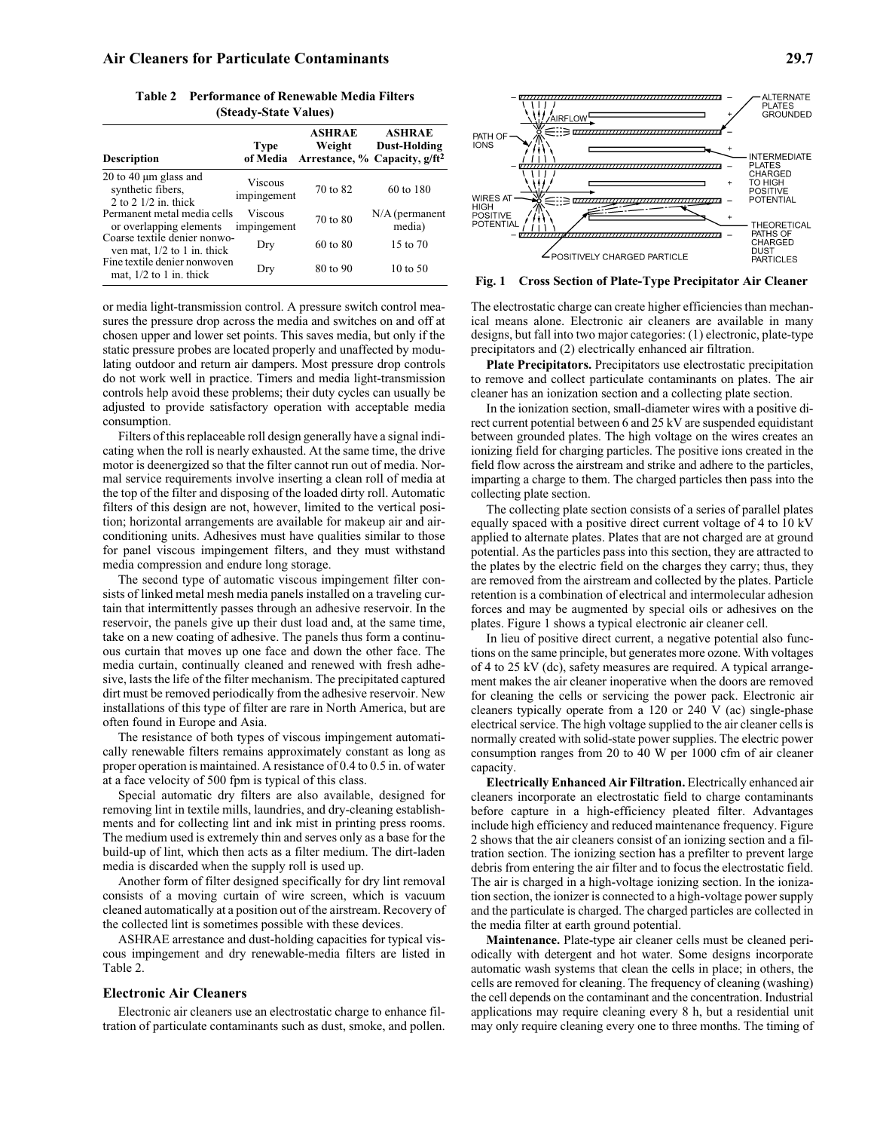| Table 2 Performance of Renewable Media Filters |
|------------------------------------------------|
| (Steady-State Values)                          |

| <b>Description</b>                                                               | <b>Type</b><br>of Media | <b>ASHRAE</b><br>Weight | <b>ASHRAE</b><br><b>Dust-Holding</b><br>Arrestance, % Capacity, $g/ft^2$ |
|----------------------------------------------------------------------------------|-------------------------|-------------------------|--------------------------------------------------------------------------|
| 20 to 40 $\mu$ m glass and<br>synthetic fibers.<br>2 to $2 \frac{1}{2}$ in thick | Viscous<br>impingement  | 70 to 82                | 60 to 180                                                                |
| Permanent metal media cells<br>or overlapping elements                           | Viscous<br>impingement  | 70 to 80                | $N/A$ (permanent<br>media)                                               |
| Coarse textile denier nonwo-<br>ven mat, $1/2$ to 1 in. thick                    | Dry                     | $60 \text{ to } 80$     | 15 to 70                                                                 |
| Fine textile denier nonwoven<br>mat, $1/2$ to 1 in. thick                        | Dry                     | 80 to 90                | $10 \text{ to } 50$                                                      |

or media light-transmission control. A pressure switch control measures the pressure drop across the media and switches on and off at chosen upper and lower set points. This saves media, but only if the static pressure probes are located properly and unaffected by modulating outdoor and return air dampers. Most pressure drop controls do not work well in practice. Timers and media light-transmission controls help avoid these problems; their duty cycles can usually be adjusted to provide satisfactory operation with acceptable media consumption.

Filters of this replaceable roll design generally have a signal indicating when the roll is nearly exhausted. At the same time, the drive motor is deenergized so that the filter cannot run out of media. Normal service requirements involve inserting a clean roll of media at the top of the filter and disposing of the loaded dirty roll. Automatic filters of this design are not, however, limited to the vertical position; horizontal arrangements are available for makeup air and airconditioning units. Adhesives must have qualities similar to those for panel viscous impingement filters, and they must withstand media compression and endure long storage.

The second type of automatic viscous impingement filter consists of linked metal mesh media panels installed on a traveling curtain that intermittently passes through an adhesive reservoir. In the reservoir, the panels give up their dust load and, at the same time, take on a new coating of adhesive. The panels thus form a continuous curtain that moves up one face and down the other face. The media curtain, continually cleaned and renewed with fresh adhesive, lasts the life of the filter mechanism. The precipitated captured dirt must be removed periodically from the adhesive reservoir. New installations of this type of filter are rare in North America, but are often found in Europe and Asia.

The resistance of both types of viscous impingement automatically renewable filters remains approximately constant as long as proper operation is maintained. A resistance of 0.4 to 0.5 in. of water at a face velocity of 500 fpm is typical of this class.

Special automatic dry filters are also available, designed for removing lint in textile mills, laundries, and dry-cleaning establishments and for collecting lint and ink mist in printing press rooms. The medium used is extremely thin and serves only as a base for the build-up of lint, which then acts as a filter medium. The dirt-laden media is discarded when the supply roll is used up.

Another form of filter designed specifically for dry lint removal consists of a moving curtain of wire screen, which is vacuum cleaned automatically at a position out of the airstream. Recovery of the collected lint is sometimes possible with these devices.

ASHRAE arrestance and dust-holding capacities for typical viscous impingement and dry renewable-media filters are listed in Table 2.

### **Electronic Air Cleaners**

Electronic air cleaners use an electrostatic charge to enhance filtration of particulate contaminants such as dust, smoke, and pollen.



**Fig. 1 Cross Section of Plate-Type Precipitator Air Cleaner**

The electrostatic charge can create higher efficiencies than mechanical means alone. Electronic air cleaners are available in many designs, but fall into two major categories: (1) electronic, plate-type precipitators and (2) electrically enhanced air filtration.

**Plate Precipitators.** Precipitators use electrostatic precipitation to remove and collect particulate contaminants on plates. The air cleaner has an ionization section and a collecting plate section.

In the ionization section, small-diameter wires with a positive direct current potential between 6 and 25 kV are suspended equidistant between grounded plates. The high voltage on the wires creates an ionizing field for charging particles. The positive ions created in the field flow across the airstream and strike and adhere to the particles, imparting a charge to them. The charged particles then pass into the collecting plate section.

The collecting plate section consists of a series of parallel plates equally spaced with a positive direct current voltage of 4 to 10 kV applied to alternate plates. Plates that are not charged are at ground potential. As the particles pass into this section, they are attracted to the plates by the electric field on the charges they carry; thus, they are removed from the airstream and collected by the plates. Particle retention is a combination of electrical and intermolecular adhesion forces and may be augmented by special oils or adhesives on the plates. Figure 1 shows a typical electronic air cleaner cell.

In lieu of positive direct current, a negative potential also functions on the same principle, but generates more ozone. With voltages of 4 to 25 kV (dc), safety measures are required. A typical arrangement makes the air cleaner inoperative when the doors are removed for cleaning the cells or servicing the power pack. Electronic air cleaners typically operate from a 120 or 240 V (ac) single-phase electrical service. The high voltage supplied to the air cleaner cells is normally created with solid-state power supplies. The electric power consumption ranges from 20 to 40 W per 1000 cfm of air cleaner capacity.

**Electrically Enhanced Air Filtration.** Electrically enhanced air cleaners incorporate an electrostatic field to charge contaminants before capture in a high-efficiency pleated filter. Advantages include high efficiency and reduced maintenance frequency. Figure 2 shows that the air cleaners consist of an ionizing section and a filtration section. The ionizing section has a prefilter to prevent large debris from entering the air filter and to focus the electrostatic field. The air is charged in a high-voltage ionizing section. In the ionization section, the ionizer is connected to a high-voltage power supply and the particulate is charged. The charged particles are collected in the media filter at earth ground potential.

**Maintenance.** Plate-type air cleaner cells must be cleaned periodically with detergent and hot water. Some designs incorporate automatic wash systems that clean the cells in place; in others, the cells are removed for cleaning. The frequency of cleaning (washing) the cell depends on the contaminant and the concentration. Industrial applications may require cleaning every 8 h, but a residential unit may only require cleaning every one to three months. The timing of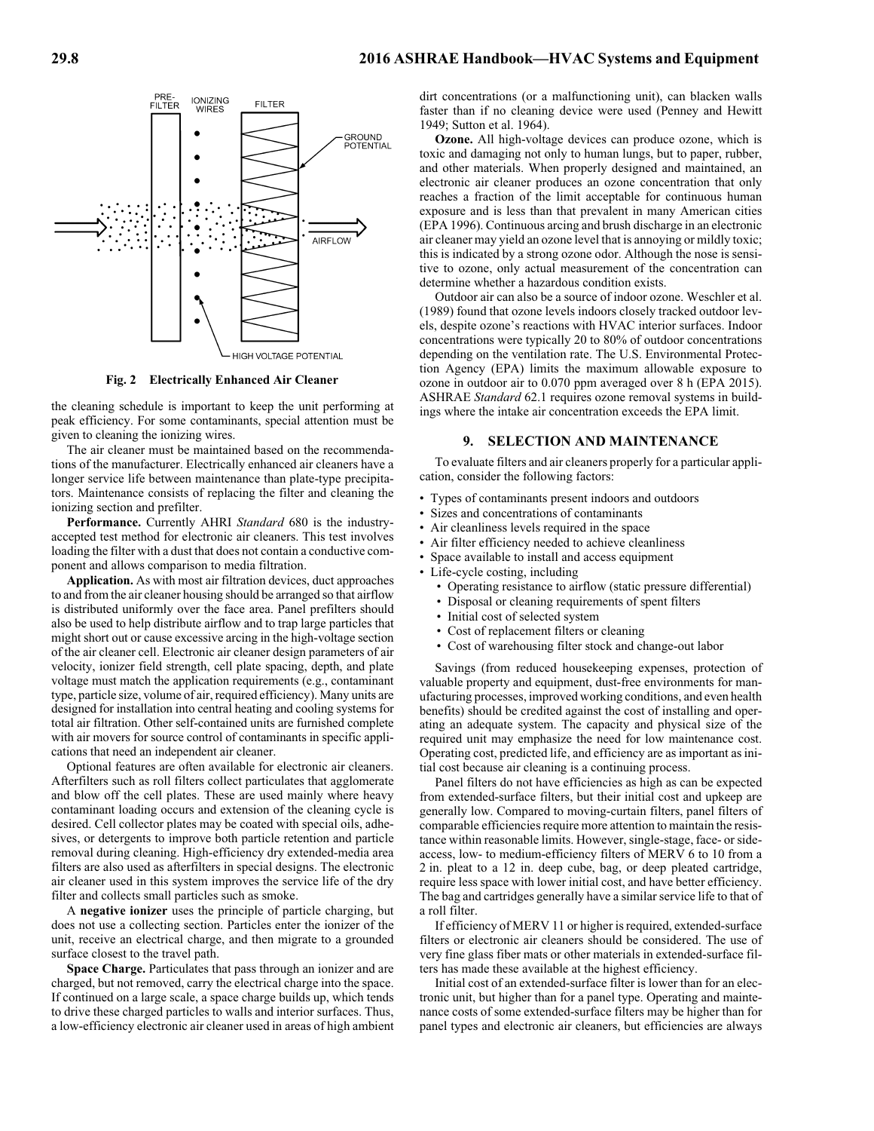

**Fig. 2 Electrically Enhanced Air Cleaner**

the cleaning schedule is important to keep the unit performing at peak efficiency. For some contaminants, special attention must be given to cleaning the ionizing wires.

The air cleaner must be maintained based on the recommendations of the manufacturer. Electrically enhanced air cleaners have a longer service life between maintenance than plate-type precipitators. Maintenance consists of replacing the filter and cleaning the ionizing section and prefilter.

**Performance.** Currently AHRI *Standard* 680 is the industryaccepted test method for electronic air cleaners. This test involves loading the filter with a dust that does not contain a conductive component and allows comparison to media filtration.

**Application.** As with most air filtration devices, duct approaches to and from the air cleaner housing should be arranged so that airflow is distributed uniformly over the face area. Panel prefilters should also be used to help distribute airflow and to trap large particles that might short out or cause excessive arcing in the high-voltage section of the air cleaner cell. Electronic air cleaner design parameters of air velocity, ionizer field strength, cell plate spacing, depth, and plate voltage must match the application requirements (e.g., contaminant type, particle size, volume of air, required efficiency). Many units are designed for installation into central heating and cooling systems for total air filtration. Other self-contained units are furnished complete with air movers for source control of contaminants in specific applications that need an independent air cleaner.

Optional features are often available for electronic air cleaners. Afterfilters such as roll filters collect particulates that agglomerate and blow off the cell plates. These are used mainly where heavy contaminant loading occurs and extension of the cleaning cycle is desired. Cell collector plates may be coated with special oils, adhesives, or detergents to improve both particle retention and particle removal during cleaning. High-efficiency dry extended-media area filters are also used as afterfilters in special designs. The electronic air cleaner used in this system improves the service life of the dry filter and collects small particles such as smoke.

A **negative ionizer** uses the principle of particle charging, but does not use a collecting section. Particles enter the ionizer of the unit, receive an electrical charge, and then migrate to a grounded surface closest to the travel path.

**Space Charge.** Particulates that pass through an ionizer and are charged, but not removed, carry the electrical charge into the space. If continued on a large scale, a space charge builds up, which tends to drive these charged particles to walls and interior surfaces. Thus, a low-efficiency electronic air cleaner used in areas of high ambient

dirt concentrations (or a malfunctioning unit), can blacken walls faster than if no cleaning device were used (Penney and Hewitt 1949; Sutton et al. 1964).

**Ozone.** All high-voltage devices can produce ozone, which is toxic and damaging not only to human lungs, but to paper, rubber, and other materials. When properly designed and maintained, an electronic air cleaner produces an ozone concentration that only reaches a fraction of the limit acceptable for continuous human exposure and is less than that prevalent in many American cities (EPA 1996). Continuous arcing and brush discharge in an electronic air cleaner may yield an ozone level that is annoying or mildly toxic; this is indicated by a strong ozone odor. Although the nose is sensitive to ozone, only actual measurement of the concentration can determine whether a hazardous condition exists.

Outdoor air can also be a source of indoor ozone. Weschler et al. (1989) found that ozone levels indoors closely tracked outdoor levels, despite ozone's reactions with HVAC interior surfaces. Indoor concentrations were typically 20 to 80% of outdoor concentrations depending on the ventilation rate. The U.S. Environmental Protection Agency (EPA) limits the maximum allowable exposure to ozone in outdoor air to 0.070 ppm averaged over 8 h (EPA 2015). ASHRAE *Standard* 62.1 requires ozone removal systems in buildings where the intake air concentration exceeds the EPA limit.

### **9. SELECTION AND MAINTENANCE**

<span id="page-7-0"></span>To evaluate filters and air cleaners properly for a particular application, consider the following factors:

- Types of contaminants present indoors and outdoors
- Sizes and concentrations of contaminants
- Air cleanliness levels required in the space
- Air filter efficiency needed to achieve cleanliness
- Space available to install and access equipment
- Life-cycle costing, including
	- Operating resistance to airflow (static pressure differential)
	- Disposal or cleaning requirements of spent filters
	- Initial cost of selected system
	- Cost of replacement filters or cleaning
	- Cost of warehousing filter stock and change-out labor

Savings (from reduced housekeeping expenses, protection of valuable property and equipment, dust-free environments for manufacturing processes, improved working conditions, and even health benefits) should be credited against the cost of installing and operating an adequate system. The capacity and physical size of the required unit may emphasize the need for low maintenance cost. Operating cost, predicted life, and efficiency are as important as initial cost because air cleaning is a continuing process.

Panel filters do not have efficiencies as high as can be expected from extended-surface filters, but their initial cost and upkeep are generally low. Compared to moving-curtain filters, panel filters of comparable efficiencies require more attention to maintain the resistance within reasonable limits. However, single-stage, face- or sideaccess, low- to medium-efficiency filters of MERV 6 to 10 from a 2 in. pleat to a 12 in. deep cube, bag, or deep pleated cartridge, require less space with lower initial cost, and have better efficiency. The bag and cartridges generally have a similar service life to that of a roll filter.

If efficiency of MERV 11 or higher is required, extended-surface filters or electronic air cleaners should be considered. The use of very fine glass fiber mats or other materials in extended-surface filters has made these available at the highest efficiency.

Initial cost of an extended-surface filter is lower than for an electronic unit, but higher than for a panel type. Operating and maintenance costs of some extended-surface filters may be higher than for panel types and electronic air cleaners, but efficiencies are always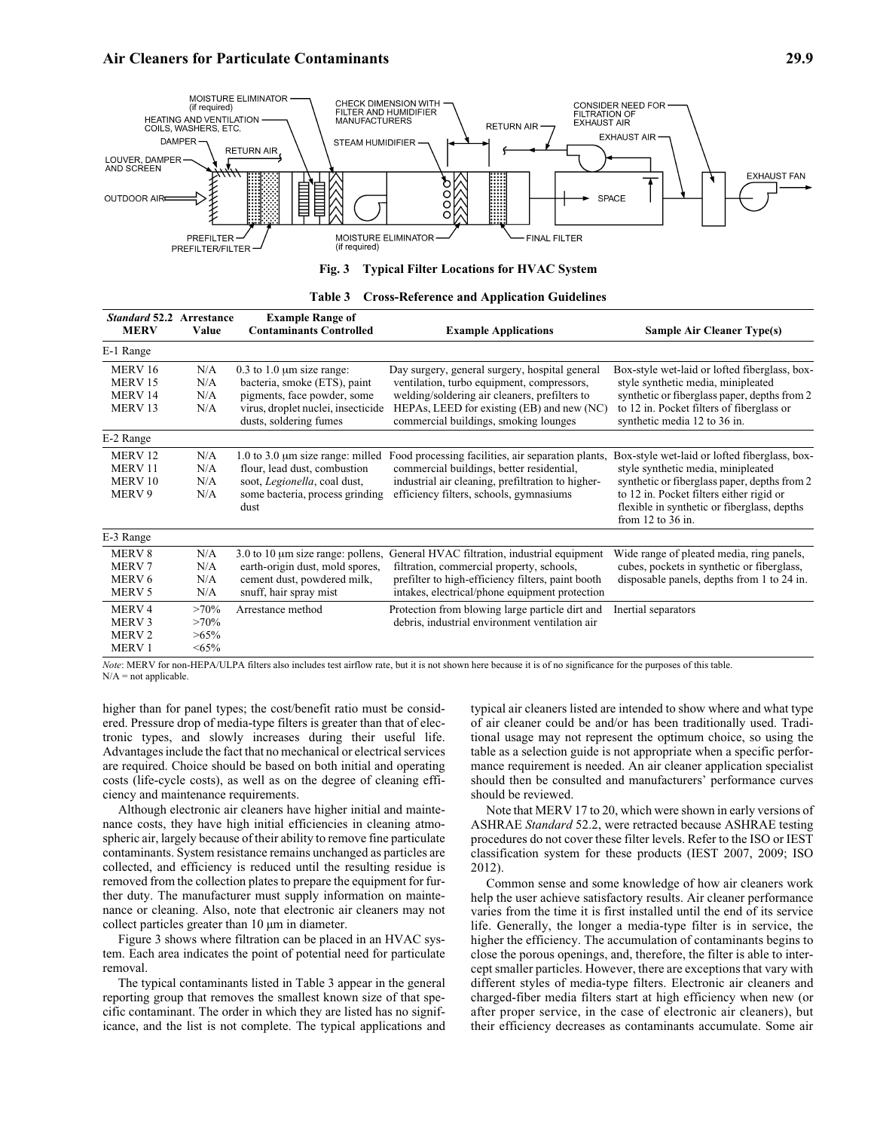

#### **Fig. 3 Typical Filter Locations for HVAC System**

|  | Table 3 Cross-Reference and Application Guidelines |  |  |
|--|----------------------------------------------------|--|--|
|--|----------------------------------------------------|--|--|

| <i>Standard</i> 52.2 Arrestance<br><b>MERV</b> | Value   | <b>Example Range of</b><br><b>Contaminants Controlled</b> | <b>Example Applications</b>                        | <b>Sample Air Cleaner Type(s)</b>                                                                                |
|------------------------------------------------|---------|-----------------------------------------------------------|----------------------------------------------------|------------------------------------------------------------------------------------------------------------------|
| E-1 Range                                      |         |                                                           |                                                    |                                                                                                                  |
| MERV <sub>16</sub>                             | N/A     | $0.3$ to 1.0 $\mu$ m size range:                          | Day surgery, general surgery, hospital general     | Box-style wet-laid or lofted fiberglass, box-                                                                    |
| MERV <sub>15</sub>                             | N/A     | bacteria, smoke (ETS), paint                              | ventilation, turbo equipment, compressors,         | style synthetic media, minipleated                                                                               |
| <b>MERV 14</b>                                 | N/A     | pigments, face powder, some                               | welding/soldering air cleaners, prefilters to      | synthetic or fiberglass paper, depths from 2                                                                     |
| MERV <sub>13</sub>                             | N/A     | virus, droplet nuclei, insecticide                        | HEPAs, LEED for existing (EB) and new (NC)         | to 12 in. Pocket filters of fiberglass or                                                                        |
|                                                |         | dusts, soldering fumes                                    | commercial buildings, smoking lounges              | synthetic media 12 to 36 in.                                                                                     |
| E-2 Range                                      |         |                                                           |                                                    |                                                                                                                  |
| MERV <sub>12</sub>                             | N/A     | 1.0 to 3.0 µm size range: milled                          | Food processing facilities, air separation plants, | Box-style wet-laid or lofted fiberglass, box-                                                                    |
| MERV <sub>11</sub>                             | N/A     | flour, lead dust, combustion                              | commercial buildings, better residential,          | style synthetic media, minipleated                                                                               |
| <b>MERV 10</b>                                 | N/A     | soot, Legionella, coal dust,                              | industrial air cleaning, prefiltration to higher-  | synthetic or fiberglass paper, depths from 2                                                                     |
| <b>MERV 9</b>                                  | N/A     | some bacteria, process grinding<br>dust                   | efficiency filters, schools, gymnasiums            | to 12 in. Pocket filters either rigid or<br>flexible in synthetic or fiberglass, depths<br>from $12$ to $36$ in. |
| E-3 Range                                      |         |                                                           |                                                    |                                                                                                                  |
| <b>MERV 8</b>                                  | N/A     | 3.0 to 10 µm size range: pollens,                         | General HVAC filtration, industrial equipment      | Wide range of pleated media, ring panels,                                                                        |
| <b>MERV7</b>                                   | N/A     | earth-origin dust, mold spores,                           | filtration, commercial property, schools,          | cubes, pockets in synthetic or fiberglass,                                                                       |
| MERV 6                                         | N/A     | cement dust, powdered milk,                               | prefilter to high-efficiency filters, paint booth  | disposable panels, depths from 1 to 24 in.                                                                       |
| <b>MERV 5</b>                                  | N/A     | snuff, hair spray mist                                    | intakes, electrical/phone equipment protection     |                                                                                                                  |
| <b>MERV4</b>                                   | $>70\%$ | Arrestance method                                         | Protection from blowing large particle dirt and    | Inertial separators                                                                                              |
| <b>MERV3</b>                                   | $>70\%$ |                                                           | debris, industrial environment ventilation air     |                                                                                                                  |
| MERV <sub>2</sub>                              | $>65\%$ |                                                           |                                                    |                                                                                                                  |
| <b>MERV1</b>                                   | $<65\%$ |                                                           |                                                    |                                                                                                                  |

*Note*: MERV for non-HEPA/ULPA filters also includes test airflow rate, but it is not shown here because it is of no significance for the purposes of this table.  $N/A$  = not applicable.

higher than for panel types; the cost/benefit ratio must be considered. Pressure drop of media-type filters is greater than that of electronic types, and slowly increases during their useful life. Advantages include the fact that no mechanical or electrical services are required. Choice should be based on both initial and operating costs (life-cycle costs), as well as on the degree of cleaning efficiency and maintenance requirements.

Although electronic air cleaners have higher initial and maintenance costs, they have high initial efficiencies in cleaning atmospheric air, largely because of their ability to remove fine particulate contaminants. System resistance remains unchanged as particles are collected, and efficiency is reduced until the resulting residue is removed from the collection plates to prepare the equipment for further duty. The manufacturer must supply information on maintenance or cleaning. Also, note that electronic air cleaners may not collect particles greater than 10 µm in diameter.

Figure 3 shows where filtration can be placed in an HVAC system. Each area indicates the point of potential need for particulate removal.

The typical contaminants listed in Table 3 appear in the general reporting group that removes the smallest known size of that specific contaminant. The order in which they are listed has no significance, and the list is not complete. The typical applications and typical air cleaners listed are intended to show where and what type of air cleaner could be and/or has been traditionally used. Traditional usage may not represent the optimum choice, so using the table as a selection guide is not appropriate when a specific performance requirement is needed. An air cleaner application specialist should then be consulted and manufacturers' performance curves should be reviewed.

Note that MERV 17 to 20, which were shown in early versions of ASHRAE *Standard* 52.2, were retracted because ASHRAE testing procedures do not cover these filter levels. Refer to the ISO or IEST classification system for these products (IEST 2007, 2009; ISO 2012).

Common sense and some knowledge of how air cleaners work help the user achieve satisfactory results. Air cleaner performance varies from the time it is first installed until the end of its service life. Generally, the longer a media-type filter is in service, the higher the efficiency. The accumulation of contaminants begins to close the porous openings, and, therefore, the filter is able to intercept smaller particles. However, there are exceptions that vary with different styles of media-type filters. Electronic air cleaners and charged-fiber media filters start at high efficiency when new (or after proper service, in the case of electronic air cleaners), but their efficiency decreases as contaminants accumulate. Some air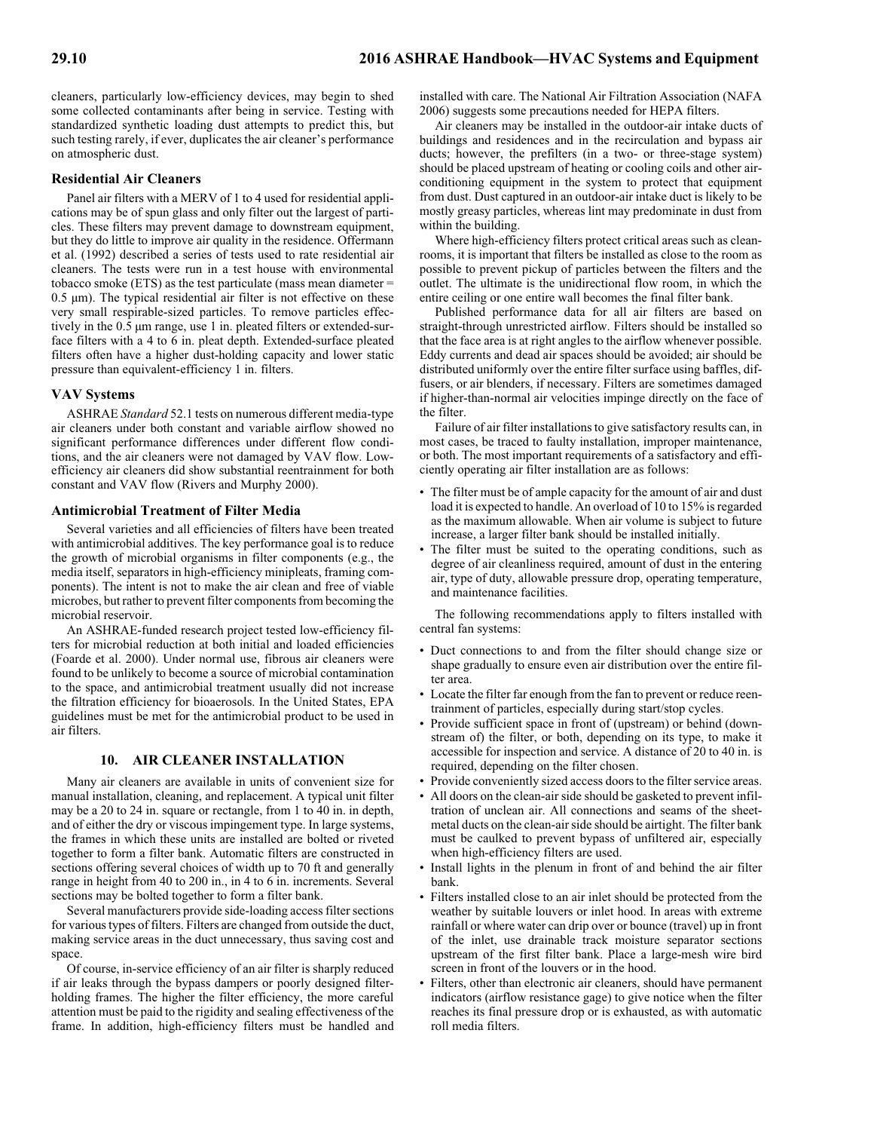cleaners, particularly low-efficiency devices, may begin to shed some collected contaminants after being in service. Testing with standardized synthetic loading dust attempts to predict this, but such testing rarely, if ever, duplicates the air cleaner's performance on atmospheric dust.

# **Residential Air Cleaners**

Panel air filters with a MERV of 1 to 4 used for residential applications may be of spun glass and only filter out the largest of particles. These filters may prevent damage to downstream equipment, but they do little to improve air quality in the residence. Offermann et al. (1992) described a series of tests used to rate residential air cleaners. The tests were run in a test house with environmental tobacco smoke (ETS) as the test particulate (mass mean diameter =  $0.5 \, \mu m$ ). The typical residential air filter is not effective on these very small respirable-sized particles. To remove particles effectively in the 0.5 µm range, use 1 in. pleated filters or extended-surface filters with a 4 to 6 in. pleat depth. Extended-surface pleated filters often have a higher dust-holding capacity and lower static pressure than equivalent-efficiency 1 in. filters.

### **VAV Systems**

ASHRAE *Standard* 52.1 tests on numerous different media-type air cleaners under both constant and variable airflow showed no significant performance differences under different flow conditions, and the air cleaners were not damaged by VAV flow. Lowefficiency air cleaners did show substantial reentrainment for both constant and VAV flow (Rivers and Murphy 2000).

#### **Antimicrobial Treatment of Filter Media**

Several varieties and all efficiencies of filters have been treated with antimicrobial additives. The key performance goal is to reduce the growth of microbial organisms in filter components (e.g., the media itself, separators in high-efficiency minipleats, framing components). The intent is not to make the air clean and free of viable microbes, but rather to prevent filter components from becoming the microbial reservoir.

An ASHRAE-funded research project tested low-efficiency filters for microbial reduction at both initial and loaded efficiencies (Foarde et al. 2000). Under normal use, fibrous air cleaners were found to be unlikely to become a source of microbial contamination to the space, and antimicrobial treatment usually did not increase the filtration efficiency for bioaerosols. In the United States, EPA guidelines must be met for the antimicrobial product to be used in air filters.

# **10. AIR CLEANER INSTALLATION**

<span id="page-9-0"></span>Many air cleaners are available in units of convenient size for manual installation, cleaning, and replacement. A typical unit filter may be a 20 to 24 in. square or rectangle, from 1 to 40 in. in depth, and of either the dry or viscous impingement type. In large systems, the frames in which these units are installed are bolted or riveted together to form a filter bank. Automatic filters are constructed in sections offering several choices of width up to 70 ft and generally range in height from 40 to 200 in., in 4 to 6 in. increments. Several sections may be bolted together to form a filter bank.

Several manufacturers provide side-loading access filter sections for various types of filters. Filters are changed from outside the duct, making service areas in the duct unnecessary, thus saving cost and space.

Of course, in-service efficiency of an air filter is sharply reduced if air leaks through the bypass dampers or poorly designed filterholding frames. The higher the filter efficiency, the more careful attention must be paid to the rigidity and sealing effectiveness of the frame. In addition, high-efficiency filters must be handled and installed with care. The National Air Filtration Association (NAFA 2006) suggests some precautions needed for HEPA filters.

Air cleaners may be installed in the outdoor-air intake ducts of buildings and residences and in the recirculation and bypass air ducts; however, the prefilters (in a two- or three-stage system) should be placed upstream of heating or cooling coils and other airconditioning equipment in the system to protect that equipment from dust. Dust captured in an outdoor-air intake duct is likely to be mostly greasy particles, whereas lint may predominate in dust from within the building.

Where high-efficiency filters protect critical areas such as cleanrooms, it is important that filters be installed as close to the room as possible to prevent pickup of particles between the filters and the outlet. The ultimate is the unidirectional flow room, in which the entire ceiling or one entire wall becomes the final filter bank.

Published performance data for all air filters are based on straight-through unrestricted airflow. Filters should be installed so that the face area is at right angles to the airflow whenever possible. Eddy currents and dead air spaces should be avoided; air should be distributed uniformly over the entire filter surface using baffles, diffusers, or air blenders, if necessary. Filters are sometimes damaged if higher-than-normal air velocities impinge directly on the face of the filter.

Failure of air filter installations to give satisfactory results can, in most cases, be traced to faulty installation, improper maintenance, or both. The most important requirements of a satisfactory and efficiently operating air filter installation are as follows:

- The filter must be of ample capacity for the amount of air and dust load it is expected to handle. An overload of 10 to 15% is regarded as the maximum allowable. When air volume is subject to future increase, a larger filter bank should be installed initially.
- The filter must be suited to the operating conditions, such as degree of air cleanliness required, amount of dust in the entering air, type of duty, allowable pressure drop, operating temperature, and maintenance facilities.

The following recommendations apply to filters installed with central fan systems:

- Duct connections to and from the filter should change size or shape gradually to ensure even air distribution over the entire filter area.
- Locate the filter far enough from the fan to prevent or reduce reentrainment of particles, especially during start/stop cycles.
- Provide sufficient space in front of (upstream) or behind (downstream of) the filter, or both, depending on its type, to make it accessible for inspection and service. A distance of 20 to 40 in. is required, depending on the filter chosen.
- Provide conveniently sized access doors to the filter service areas.
- All doors on the clean-air side should be gasketed to prevent infiltration of unclean air. All connections and seams of the sheetmetal ducts on the clean-air side should be airtight. The filter bank must be caulked to prevent bypass of unfiltered air, especially when high-efficiency filters are used.
- Install lights in the plenum in front of and behind the air filter bank.
- Filters installed close to an air inlet should be protected from the weather by suitable louvers or inlet hood. In areas with extreme rainfall or where water can drip over or bounce (travel) up in front of the inlet, use drainable track moisture separator sections upstream of the first filter bank. Place a large-mesh wire bird screen in front of the louvers or in the hood.
- Filters, other than electronic air cleaners, should have permanent indicators (airflow resistance gage) to give notice when the filter reaches its final pressure drop or is exhausted, as with automatic roll media filters.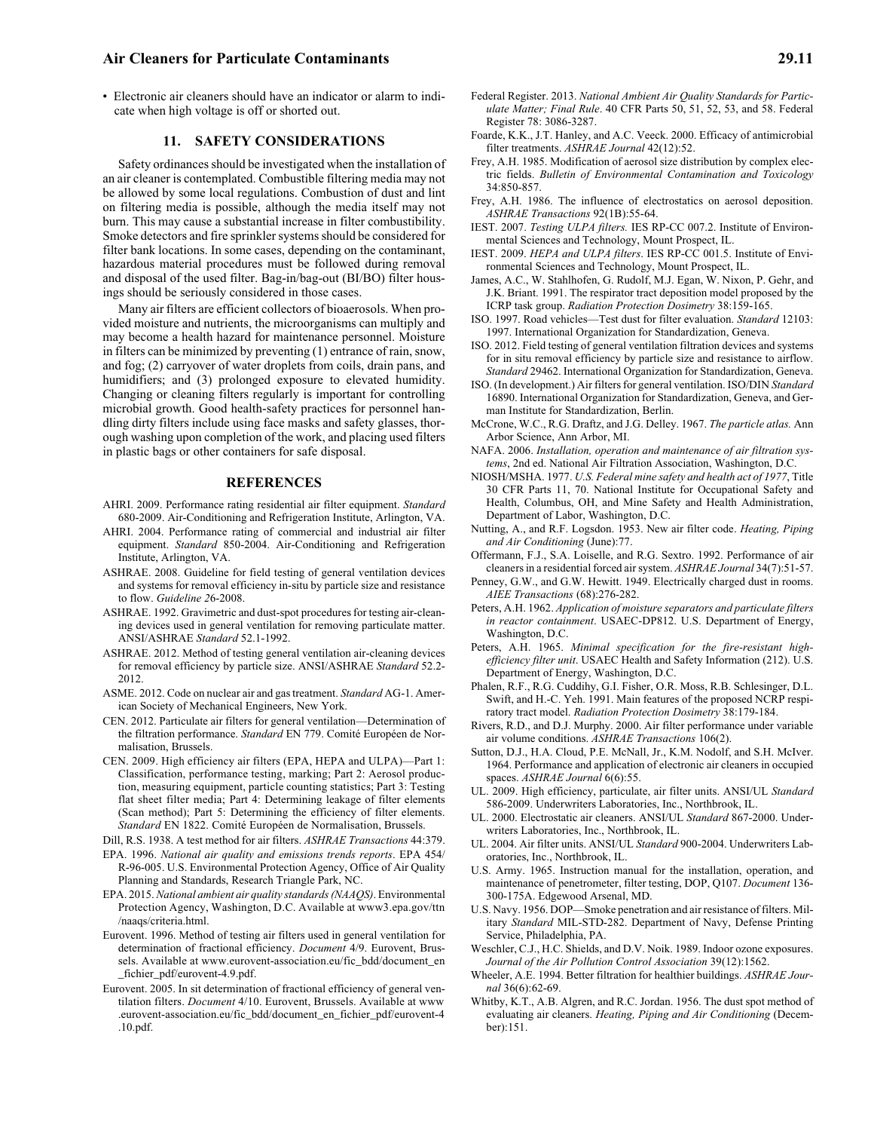• Electronic air cleaners should have an indicator or alarm to indicate when high voltage is off or shorted out.

### **11. SAFETY CONSIDERATIONS**

<span id="page-10-0"></span>Safety ordinances should be investigated when the installation of an air cleaner is contemplated. Combustible filtering media may not be allowed by some local regulations. Combustion of dust and lint on filtering media is possible, although the media itself may not burn. This may cause a substantial increase in filter combustibility. Smoke detectors and fire sprinkler systems should be considered for filter bank locations. In some cases, depending on the contaminant, hazardous material procedures must be followed during removal and disposal of the used filter. Bag-in/bag-out (BI/BO) filter housings should be seriously considered in those cases.

Many air filters are efficient collectors of bioaerosols. When provided moisture and nutrients, the microorganisms can multiply and may become a health hazard for maintenance personnel. Moisture in filters can be minimized by preventing (1) entrance of rain, snow, and fog; (2) carryover of water droplets from coils, drain pans, and humidifiers; and (3) prolonged exposure to elevated humidity. Changing or cleaning filters regularly is important for controlling microbial growth. Good health-safety practices for personnel handling dirty filters include using face masks and safety glasses, thorough washing upon completion of the work, and placing used filters in plastic bags or other containers for safe disposal.

#### **REFERENCES**

- AHRI. 2009. Performance rating residential air filter equipment. *Standard* 680-2009. Air-Conditioning and Refrigeration Institute, Arlington, VA.
- AHRI. 2004. Performance rating of commercial and industrial air filter equipment. *Standard* 850-2004. Air-Conditioning and Refrigeration Institute, Arlington, VA.
- ASHRAE. 2008. Guideline for field testing of general ventilation devices and systems for removal efficiency in-situ by particle size and resistance to flow. *Guideline 2*6-2008.
- ASHRAE. 1992. Gravimetric and dust-spot procedures for testing air-cleaning devices used in general ventilation for removing particulate matter. ANSI/ASHRAE *Standard* 52.1-1992.
- ASHRAE. 2012. Method of testing general ventilation air-cleaning devices for removal efficiency by particle size. ANSI/ASHRAE *Standard* 52.2- 2012.
- ASME. 2012. Code on nuclear air and gas treatment. *Standard* AG-1. American Society of Mechanical Engineers, New York.
- CEN. 2012. Particulate air filters for general ventilation—Determination of the filtration performance. *Standard* EN 779. Comité Européen de Normalisation, Brussels.
- CEN. 2009. High efficiency air filters (EPA, HEPA and ULPA)—Part 1: Classification, performance testing, marking; Part 2: Aerosol production, measuring equipment, particle counting statistics; Part 3: Testing flat sheet filter media; Part 4: Determining leakage of filter elements (Scan method); Part 5: Determining the efficiency of filter elements. *Standard* EN 1822. Comité Européen de Normalisation, Brussels.
- Dill, R.S. 1938. A test method for air filters. *ASHRAE Transactions* 44:379.
- EPA. 1996. *National air quality and emissions trends reports*. EPA 454/ R-96-005. U.S. Environmental Protection Agency, Office of Air Quality Planning and Standards, Research Triangle Park, NC.
- EPA. 2015. *National ambient air quality standards (NAAQS)*. Environmental Protection Agency, Washington, D.C. Available at www3.epa.gov/ttn /naaqs/criteria.html.
- Eurovent. 1996. Method of testing air filters used in general ventilation for determination of fractional efficiency. *Document* 4/9. Eurovent, Brussels. Available at www.eurovent-association.eu/fic\_bdd/document\_en \_fichier\_pdf/eurovent-4.9.pdf.
- Eurovent. 2005. In sit determination of fractional efficiency of general ventilation filters. *Document* 4/10. Eurovent, Brussels. Available at www .eurovent-association.eu/fic\_bdd/document\_en\_fichier\_pdf/eurovent-4 .10.pdf.
- Federal Register. 2013. *National Ambient Air Quality Standards for Particulate Matter; Final Rule*. 40 CFR Parts 50, 51, 52, 53, and 58. Federal Register 78: 3086-3287.
- Foarde, K.K., J.T. Hanley, and A.C. Veeck. 2000. Efficacy of antimicrobial filter treatments. *ASHRAE Journal* 42(12):52.
- Frey, A.H. 1985. Modification of aerosol size distribution by complex electric fields. *Bulletin of Environmental Contamination and Toxicology* 34:850-857.
- Frey, A.H. 1986. The influence of electrostatics on aerosol deposition. *ASHRAE Transactions* 92(1B):55-64.
- IEST. 2007. *Testing ULPA filters.* IES RP-CC 007.2. Institute of Environmental Sciences and Technology, Mount Prospect, IL.
- IEST. 2009. *HEPA and ULPA filters*. IES RP-CC 001.5. Institute of Environmental Sciences and Technology, Mount Prospect, IL.
- James, A.C., W. Stahlhofen, G. Rudolf, M.J. Egan, W. Nixon, P. Gehr, and J.K. Briant. 1991. The respirator tract deposition model proposed by the ICRP task group. *Radiation Protection Dosimetry* 38:159-165.
- ISO. 1997. Road vehicles—Test dust for filter evaluation. *Standard* 12103: 1997. International Organization for Standardization, Geneva.
- ISO. 2012. Field testing of general ventilation filtration devices and systems for in situ removal efficiency by particle size and resistance to airflow. *Standard* 29462. International Organization for Standardization, Geneva.
- ISO. (In development.) Air filters for general ventilation. ISO/DIN *Standard* 16890. International Organization for Standardization, Geneva, and German Institute for Standardization, Berlin.
- McCrone, W.C., R.G. Draftz, and J.G. Delley. 1967. *The particle atlas.* Ann Arbor Science, Ann Arbor, MI.
- NAFA. 2006. *Installation, operation and maintenance of air filtration systems*, 2nd ed. National Air Filtration Association, Washington, D.C.
- NIOSH/MSHA. 1977. *U.S. Federal mine safety and health act of 1977*, Title 30 CFR Parts 11, 70. National Institute for Occupational Safety and Health, Columbus, OH, and Mine Safety and Health Administration, Department of Labor, Washington, D.C.
- Nutting, A., and R.F. Logsdon. 1953. New air filter code. *Heating, Piping and Air Conditioning* (June):77.
- Offermann, F.J., S.A. Loiselle, and R.G. Sextro. 1992. Performance of air cleaners in a residential forced air system. *ASHRAE Journal* 34(7):51-57.
- Penney, G.W., and G.W. Hewitt. 1949. Electrically charged dust in rooms. *AIEE Transactions* (68):276-282.
- Peters, A.H. 1962. *Application of moisture separators and particulate filters in reactor containment*. USAEC-DP812. U.S. Department of Energy, Washington, D.C.
- Peters, A.H. 1965. *Minimal specification for the fire-resistant highefficiency filter unit*. USAEC Health and Safety Information (212). U.S. Department of Energy, Washington, D.C.
- Phalen, R.F., R.G. Cuddihy, G.I. Fisher, O.R. Moss, R.B. Schlesinger, D.L. Swift, and H.-C. Yeh. 1991. Main features of the proposed NCRP respiratory tract model. *Radiation Protection Dosimetry* 38:179-184.
- Rivers, R.D., and D.J. Murphy. 2000. Air filter performance under variable air volume conditions. *ASHRAE Transactions* 106(2).
- Sutton, D.J., H.A. Cloud, P.E. McNall, Jr., K.M. Nodolf, and S.H. McIver. 1964. Performance and application of electronic air cleaners in occupied spaces. *ASHRAE Journal* 6(6):55.
- UL. 2009. High efficiency, particulate, air filter units. ANSI/UL *Standard* 586-2009. Underwriters Laboratories, Inc., Northbrook, IL.
- UL. 2000. Electrostatic air cleaners. ANSI/UL *Standard* 867-2000. Underwriters Laboratories, Inc., Northbrook, IL.
- UL. 2004. Air filter units. ANSI/UL *Standard* 900-2004. Underwriters Laboratories, Inc., Northbrook, IL.
- U.S. Army. 1965. Instruction manual for the installation, operation, and maintenance of penetrometer, filter testing, DOP, Q107. *Document* 136- 300-175A. Edgewood Arsenal, MD.
- U.S. Navy. 1956. DOP—Smoke penetration and air resistance of filters. Military *Standard* MIL-STD-282. Department of Navy, Defense Printing Service, Philadelphia, PA.
- Weschler, C.J., H.C. Shields, and D.V. Noik. 1989. Indoor ozone exposures. *Journal of the Air Pollution Control Association* 39(12):1562.
- Wheeler, A.E. 1994. Better filtration for healthier buildings. *ASHRAE Journal* 36(6):62-69.
- Whitby, K.T., A.B. Algren, and R.C. Jordan. 1956. The dust spot method of evaluating air cleaners. *Heating, Piping and Air Conditioning* (December):151.